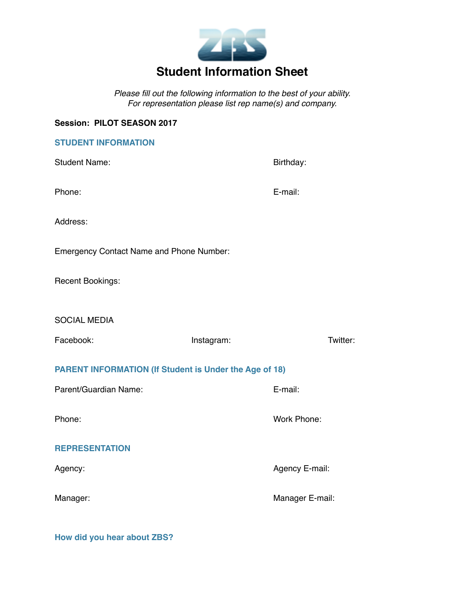

*Please fill out the following information to the best of your ability. For representation please list rep name(s) and company.* 

# **Session: PILOT SEASON 2017**

| <b>STUDENT INFORMATION</b>                                    |                 |          |  |  |  |
|---------------------------------------------------------------|-----------------|----------|--|--|--|
| <b>Student Name:</b>                                          | Birthday:       |          |  |  |  |
| Phone:                                                        | E-mail:         |          |  |  |  |
| Address:                                                      |                 |          |  |  |  |
| <b>Emergency Contact Name and Phone Number:</b>               |                 |          |  |  |  |
| Recent Bookings:                                              |                 |          |  |  |  |
| <b>SOCIAL MEDIA</b>                                           |                 |          |  |  |  |
| Facebook:                                                     | Instagram:      | Twitter: |  |  |  |
| <b>PARENT INFORMATION (If Student is Under the Age of 18)</b> |                 |          |  |  |  |
|                                                               |                 |          |  |  |  |
| Parent/Guardian Name:                                         | E-mail:         |          |  |  |  |
| Phone:                                                        | Work Phone:     |          |  |  |  |
| <b>REPRESENTATION</b>                                         |                 |          |  |  |  |
| Agency:                                                       | Agency E-mail:  |          |  |  |  |
| Manager:                                                      | Manager E-mail: |          |  |  |  |

**How did you hear about ZBS?**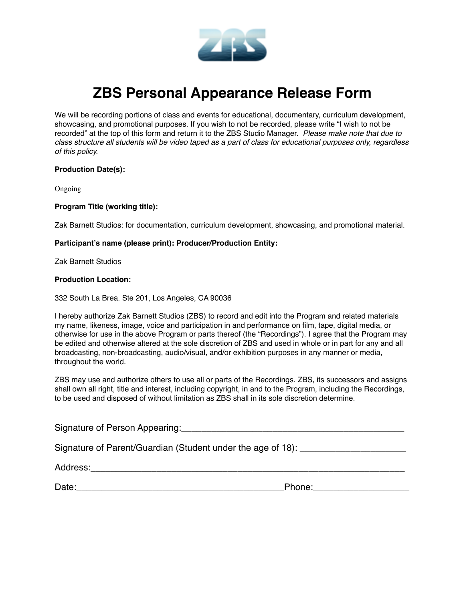

# **ZBS Personal Appearance Release Form**

We will be recording portions of class and events for educational, documentary, curriculum development, showcasing, and promotional purposes. If you wish to not be recorded, please write "I wish to not be recorded" at the top of this form and return it to the ZBS Studio Manager. *Please make note that due to class structure all students will be video taped as a part of class for educational purposes only, regardless of this policy.* 

#### **Production Date(s):**

Ongoing

#### **Program Title (working title):**

Zak Barnett Studios: for documentation, curriculum development, showcasing, and promotional material.

#### **Participant's name (please print): Producer/Production Entity:**

Zak Barnett Studios

#### **Production Location:**

332 South La Brea. Ste 201, Los Angeles, CA 90036

I hereby authorize Zak Barnett Studios (ZBS) to record and edit into the Program and related materials my name, likeness, image, voice and participation in and performance on film, tape, digital media, or otherwise for use in the above Program or parts thereof (the "Recordings"). I agree that the Program may be edited and otherwise altered at the sole discretion of ZBS and used in whole or in part for any and all broadcasting, non-broadcasting, audio/visual, and/or exhibition purposes in any manner or media, throughout the world.

ZBS may use and authorize others to use all or parts of the Recordings. ZBS, its successors and assigns shall own all right, title and interest, including copyright, in and to the Program, including the Recordings, to be used and disposed of without limitation as ZBS shall in its sole discretion determine.

| Signature of Person Appearing: National Appearing and Appearing the Contract of the Contract of the Contract of the Contract of the Contract of the Contract of the Contract of the Contract of the Contract of the Contract o |        |
|--------------------------------------------------------------------------------------------------------------------------------------------------------------------------------------------------------------------------------|--------|
| Signature of Parent/Guardian (Student under the age of 18):                                                                                                                                                                    |        |
|                                                                                                                                                                                                                                |        |
| Date:                                                                                                                                                                                                                          | Phone: |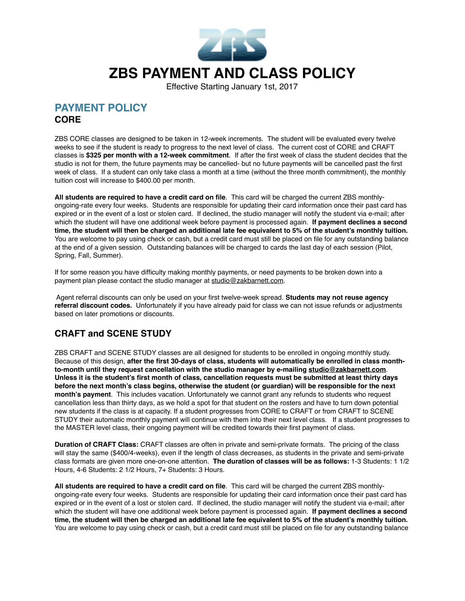

Effective Starting January 1st, 2017

# **PAYMENT POLICY CORE**

ZBS CORE classes are designed to be taken in 12-week increments. The student will be evaluated every twelve weeks to see if the student is ready to progress to the next level of class. The current cost of CORE and CRAFT classes is **\$325 per month with a 12-week commitment**. If after the first week of class the student decides that the studio is not for them, the future payments may be cancelled- but no future payments will be cancelled past the first week of class. If a student can only take class a month at a time (without the three month commitment), the monthly tuition cost will increase to \$400.00 per month.

**All students are required to have a credit card on file**. This card will be charged the current ZBS monthlyongoing-rate every four weeks. Students are responsible for updating their card information once their past card has expired or in the event of a lost or stolen card. If declined, the studio manager will notify the student via e-mail; after which the student will have one additional week before payment is processed again. **If payment declines a second time, the student will then be charged an additional late fee equivalent to 5% of the student's monthly tuition.** You are welcome to pay using check or cash, but a credit card must still be placed on file for any outstanding balance at the end of a given session. Outstanding balances will be charged to cards the last day of each session (Pilot, Spring, Fall, Summer).

If for some reason you have difficulty making monthly payments, or need payments to be broken down into a payment plan please contact the studio manager at [studio@zakbarnett.com](mailto:studio@zakbarnett.com).

 Agent referral discounts can only be used on your first twelve-week spread. **Students may not reuse agency referral discount codes.** Unfortunately if you have already paid for class we can not issue refunds or adjustments based on later promotions or discounts.

# **CRAFT and SCENE STUDY**

ZBS CRAFT and SCENE STUDY classes are all designed for students to be enrolled in ongoing monthly study. Because of this design, **after the first 30-days of class, students will automatically be enrolled in class monthto-month until they request cancellation with the studio manager by e-mailing [studio@zakbarnett.com](mailto:studio@zakbarnett.com)**. **Unless it is the student's first month of class, cancellation requests must be submitted at least thirty days before the next month's class begins, otherwise the student (or guardian) will be responsible for the next month's payment**. This includes vacation. Unfortunately we cannot grant any refunds to students who request cancellation less than thirty days, as we hold a spot for that student on the rosters and have to turn down potential new students if the class is at capacity. If a student progresses from CORE to CRAFT or from CRAFT to SCENE STUDY their automatic monthly payment will continue with them into their next level class. If a student progresses to the MASTER level class, their ongoing payment will be credited towards their first payment of class.

**Duration of CRAFT Class:** CRAFT classes are often in private and semi-private formats. The pricing of the class will stay the same (\$400/4-weeks), even if the length of class decreases, as students in the private and semi-private class formats are given more one-on-one attention. **The duration of classes will be as follows:** 1-3 Students: 1 1/2 Hours, 4-6 Students: 2 1/2 Hours, 7+ Students: 3 Hours.

**All students are required to have a credit card on file**. This card will be charged the current ZBS monthlyongoing-rate every four weeks. Students are responsible for updating their card information once their past card has expired or in the event of a lost or stolen card. If declined, the studio manager will notify the student via e-mail; after which the student will have one additional week before payment is processed again. **If payment declines a second time, the student will then be charged an additional late fee equivalent to 5% of the student's monthly tuition.** You are welcome to pay using check or cash, but a credit card must still be placed on file for any outstanding balance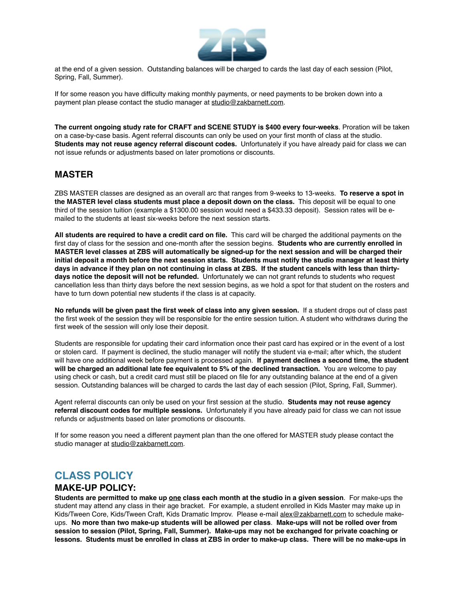

at the end of a given session. Outstanding balances will be charged to cards the last day of each session (Pilot, Spring, Fall, Summer).

If for some reason you have difficulty making monthly payments, or need payments to be broken down into a payment plan please contact the studio manager at [studio@zakbarnett.com](mailto:studio@zakbarnett.com).

**The current ongoing study rate for CRAFT and SCENE STUDY is \$400 every four-weeks**. Proration will be taken on a case-by-case basis. Agent referral discounts can only be used on your first month of class at the studio. **Students may not reuse agency referral discount codes.** Unfortunately if you have already paid for class we can not issue refunds or adjustments based on later promotions or discounts.

## **MASTER**

ZBS MASTER classes are designed as an overall arc that ranges from 9-weeks to 13-weeks. **To reserve a spot in the MASTER level class students must place a deposit down on the class.** This deposit will be equal to one third of the session tuition (example a \$1300.00 session would need a \$433.33 deposit). Session rates will be emailed to the students at least six-weeks before the next session starts.

**All students are required to have a credit card on file.** This card will be charged the additional payments on the first day of class for the session and one-month after the session begins. **Students who are currently enrolled in MASTER level classes at ZBS will automatically be signed-up for the next session and will be charged their initial deposit a month before the next session starts. Students must notify the studio manager at least thirty days in advance if they plan on not continuing in class at ZBS. If the student cancels with less than thirtydays notice the deposit will not be refunded.** Unfortunately we can not grant refunds to students who request cancellation less than thirty days before the next session begins, as we hold a spot for that student on the rosters and have to turn down potential new students if the class is at capacity.

**No refunds will be given past the first week of class into any given session.** If a student drops out of class past the first week of the session they will be responsible for the entire session tuition. A student who withdraws during the first week of the session will only lose their deposit.

Students are responsible for updating their card information once their past card has expired or in the event of a lost or stolen card. If payment is declined, the studio manager will notify the student via e-mail; after which, the student will have one additional week before payment is processed again. **If payment declines a second time, the student**  will be charged an additional late fee equivalent to 5% of the declined transaction. You are welcome to pay using check or cash, but a credit card must still be placed on file for any outstanding balance at the end of a given session. Outstanding balances will be charged to cards the last day of each session (Pilot, Spring, Fall, Summer).

Agent referral discounts can only be used on your first session at the studio. **Students may not reuse agency referral discount codes for multiple sessions.** Unfortunately if you have already paid for class we can not issue refunds or adjustments based on later promotions or discounts.

If for some reason you need a different payment plan than the one offered for MASTER study please contact the studio manager at [studio@zakbarnett.com](mailto:studio@zakbarnett.com).

# **CLASS POLICY**

#### **MAKE-UP POLICY:**

**Students are permitted to make up one class each month at the studio in a given session**. For make-ups the student may attend any class in their age bracket. For example, a student enrolled in Kids Master may make up in Kids/Tween Core, Kids/Tween Craft, Kids Dramatic Improv. Please e-mail [alex@zakbarnett.com](mailto:alex@zakbarnett.com) to schedule makeups. **No more than two make-up students will be allowed per class**. **Make-ups will not be rolled over from session to session (Pilot, Spring, Fall, Summer). Make-ups may not be exchanged for private coaching or lessons. Students must be enrolled in class at ZBS in order to make-up class. There will be no make-ups in**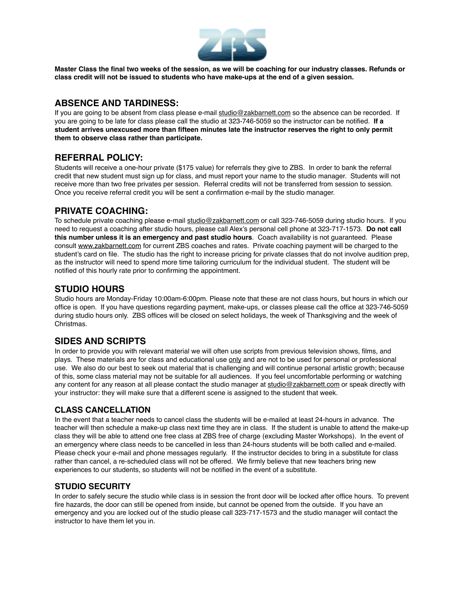

**Master Class the final two weeks of the session, as we will be coaching for our industry classes. Refunds or class credit will not be issued to students who have make-ups at the end of a given session.** 

## **ABSENCE AND TARDINESS:**

If you are going to be absent from class please e-mail [studio@zakbarnett.com](mailto:studio@zakbarnett.com) so the absence can be recorded. If you are going to be late for class please call the studio at 323-746-5059 so the instructor can be notified. **If a student arrives unexcused more than fifteen minutes late the instructor reserves the right to only permit them to observe class rather than participate.** 

## **REFERRAL POLICY:**

Students will receive a one-hour private (\$175 value) for referrals they give to ZBS. In order to bank the referral credit that new student must sign up for class, and must report your name to the studio manager. Students will not receive more than two free privates per session. Referral credits will not be transferred from session to session. Once you receive referral credit you will be sent a confirmation e-mail by the studio manager.

## **PRIVATE COACHING:**

To schedule private coaching please e-mail [studio@zakbarnett.com](mailto:studio@zakbarnett.com) or call 323-746-5059 during studio hours. If you need to request a coaching after studio hours, please call Alex's personal cell phone at 323-717-1573. **Do not call this number unless it is an emergency and past studio hours**. Coach availability is not guaranteed. Please consult [www.zakbarnett.com](http://www.zakbarnett.com) for current ZBS coaches and rates. Private coaching payment will be charged to the student's card on file. The studio has the right to increase pricing for private classes that do not involve audition prep, as the instructor will need to spend more time tailoring curriculum for the individual student. The student will be notified of this hourly rate prior to confirming the appointment.

## **STUDIO HOURS**

Studio hours are Monday-Friday 10:00am-6:00pm. Please note that these are not class hours, but hours in which our office is open. If you have questions regarding payment, make-ups, or classes please call the office at 323-746-5059 during studio hours only. ZBS offices will be closed on select holidays, the week of Thanksgiving and the week of Christmas.

# **SIDES AND SCRIPTS**

In order to provide you with relevant material we will often use scripts from previous television shows, films, and plays. These materials are for class and educational use only and are not to be used for personal or professional use. We also do our best to seek out material that is challenging and will continue personal artistic growth; because of this, some class material may not be suitable for all audiences. If you feel uncomfortable performing or watching any content for any reason at all please contact the studio manager at [studio@zakbarnett.com](mailto:studio@zakbarnett.com) or speak directly with your instructor: they will make sure that a different scene is assigned to the student that week.

## **CLASS CANCELLATION**

In the event that a teacher needs to cancel class the students will be e-mailed at least 24-hours in advance. The teacher will then schedule a make-up class next time they are in class. If the student is unable to attend the make-up class they will be able to attend one free class at ZBS free of charge (excluding Master Workshops). In the event of an emergency where class needs to be cancelled in less than 24-hours students will be both called and e-mailed. Please check your e-mail and phone messages regularly. If the instructor decides to bring in a substitute for class rather than cancel, a re-scheduled class will not be offered. We firmly believe that new teachers bring new experiences to our students, so students will not be notified in the event of a substitute.

## **STUDIO SECURITY**

In order to safely secure the studio while class is in session the front door will be locked after office hours. To prevent fire hazards, the door can still be opened from inside, but cannot be opened from the outside. If you have an emergency and you are locked out of the studio please call 323-717-1573 and the studio manager will contact the instructor to have them let you in.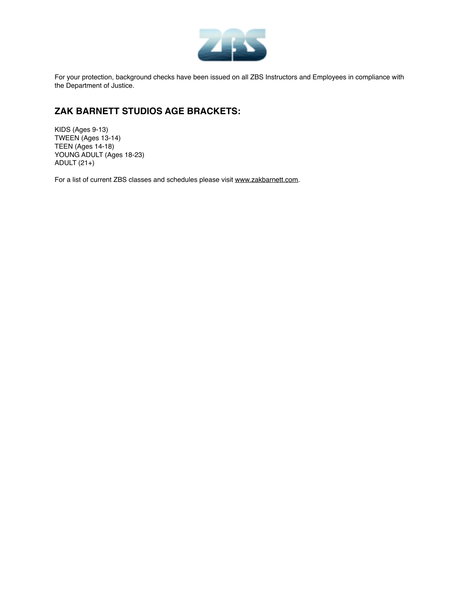

For your protection, background checks have been issued on all ZBS Instructors and Employees in compliance with the Department of Justice.

# **ZAK BARNETT STUDIOS AGE BRACKETS:**

KIDS (Ages 9-13) TWEEN (Ages 13-14) TEEN (Ages 14-18) YOUNG ADULT (Ages 18-23) ADULT (21+)

For a list of current ZBS classes and schedules please visit [www.zakbarnett.com.](http://www.zakbarnett.com)